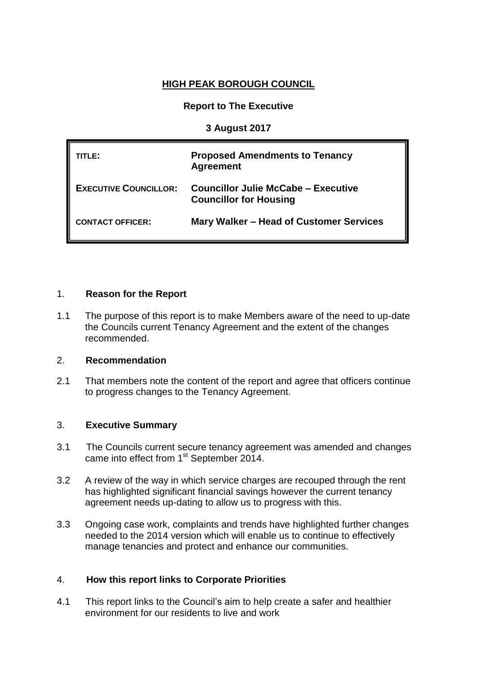# **HIGH PEAK BOROUGH COUNCIL**

# **Report to The Executive**

# **3 August 2017**

| TITLE:                       | <b>Proposed Amendments to Tenancy</b><br><b>Agreement</b>                   |
|------------------------------|-----------------------------------------------------------------------------|
| <b>EXECUTIVE COUNCILLOR:</b> | <b>Councillor Julie McCabe - Executive</b><br><b>Councillor for Housing</b> |
| <b>CONTACT OFFICER:</b>      | Mary Walker – Head of Customer Services                                     |

# 1. **Reason for the Report**

1.1 The purpose of this report is to make Members aware of the need to up-date the Councils current Tenancy Agreement and the extent of the changes recommended.

## 2. **Recommendation**

2.1 That members note the content of the report and agree that officers continue to progress changes to the Tenancy Agreement.

## 3. **Executive Summary**

- 3.1 The Councils current secure tenancy agreement was amended and changes came into effect from 1<sup>st</sup> September 2014.
- 3.2 A review of the way in which service charges are recouped through the rent has highlighted significant financial savings however the current tenancy agreement needs up-dating to allow us to progress with this.
- 3.3 Ongoing case work, complaints and trends have highlighted further changes needed to the 2014 version which will enable us to continue to effectively manage tenancies and protect and enhance our communities.

## 4. **How this report links to Corporate Priorities**

4.1 This report links to the Council's aim to help create a safer and healthier environment for our residents to live and work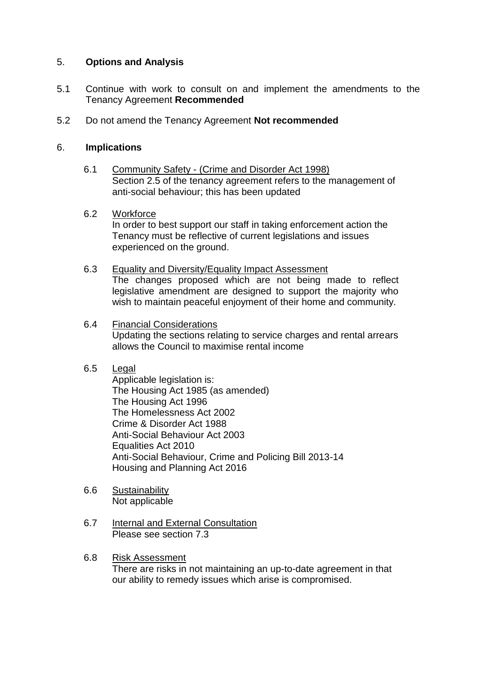# 5. **Options and Analysis**

- 5.1 Continue with work to consult on and implement the amendments to the Tenancy Agreement **Recommended**
- 5.2 Do not amend the Tenancy Agreement **Not recommended**

# 6. **Implications**

6.1 Community Safety - (Crime and Disorder Act 1998) Section 2.5 of the tenancy agreement refers to the management of anti-social behaviour; this has been updated

## 6.2 Workforce

In order to best support our staff in taking enforcement action the Tenancy must be reflective of current legislations and issues experienced on the ground.

- 6.3 Equality and Diversity/Equality Impact Assessment The changes proposed which are not being made to reflect legislative amendment are designed to support the majority who wish to maintain peaceful enjoyment of their home and community.
- 6.4 Financial Considerations Updating the sections relating to service charges and rental arrears allows the Council to maximise rental income

## 6.5 Legal

Applicable legislation is: The Housing Act 1985 (as amended) The Housing Act 1996 The Homelessness Act 2002 Crime & Disorder Act 1988 Anti-Social Behaviour Act 2003 Equalities Act 2010 Anti-Social Behaviour, Crime and Policing Bill 2013-14 Housing and Planning Act 2016

- 6.6 Sustainability Not applicable
- 6.7 Internal and External Consultation Please see section 7.3
- 6.8 Risk Assessment There are risks in not maintaining an up-to-date agreement in that our ability to remedy issues which arise is compromised.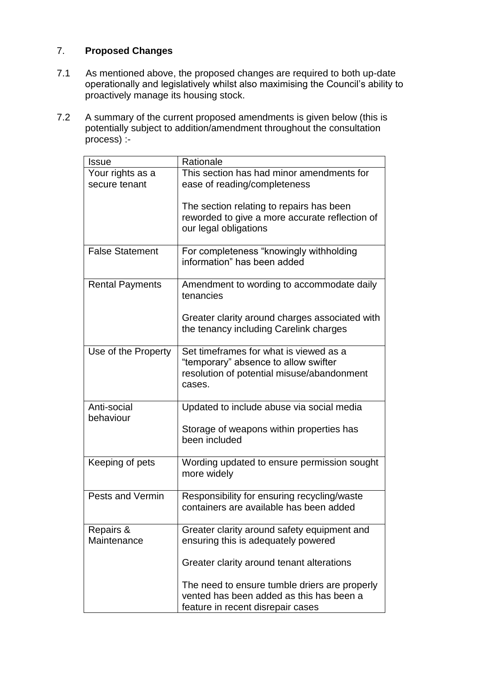# 7. **Proposed Changes**

- 7.1 As mentioned above, the proposed changes are required to both up-date operationally and legislatively whilst also maximising the Council's ability to proactively manage its housing stock.
- 7.2 A summary of the current proposed amendments is given below (this is potentially subject to addition/amendment throughout the consultation process) :-

| <b>Issue</b>                      | Rationale                                                                                                                              |
|-----------------------------------|----------------------------------------------------------------------------------------------------------------------------------------|
| Your rights as a<br>secure tenant | This section has had minor amendments for<br>ease of reading/completeness                                                              |
|                                   | The section relating to repairs has been<br>reworded to give a more accurate reflection of<br>our legal obligations                    |
| <b>False Statement</b>            | For completeness "knowingly withholding<br>information" has been added                                                                 |
| <b>Rental Payments</b>            | Amendment to wording to accommodate daily<br>tenancies                                                                                 |
|                                   | Greater clarity around charges associated with<br>the tenancy including Carelink charges                                               |
| Use of the Property               | Set timeframes for what is viewed as a<br>"temporary" absence to allow swifter<br>resolution of potential misuse/abandonment<br>cases. |
| Anti-social<br>behaviour          | Updated to include abuse via social media                                                                                              |
|                                   | Storage of weapons within properties has<br>been included                                                                              |
| Keeping of pets                   | Wording updated to ensure permission sought<br>more widely                                                                             |
| Pests and Vermin                  | Responsibility for ensuring recycling/waste<br>containers are available has been added                                                 |
| Repairs &<br>Maintenance          | Greater clarity around safety equipment and<br>ensuring this is adequately powered                                                     |
|                                   | Greater clarity around tenant alterations                                                                                              |
|                                   | The need to ensure tumble driers are properly<br>vented has been added as this has been a<br>feature in recent disrepair cases         |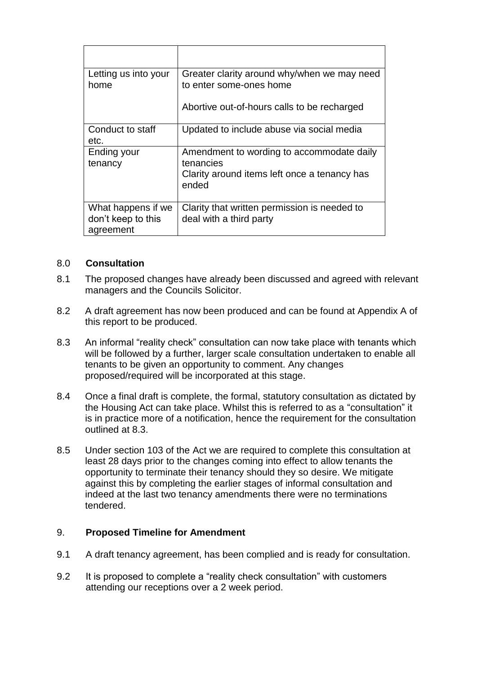| Letting us into your<br>home             | Greater clarity around why/when we may need<br>to enter some-ones home  |
|------------------------------------------|-------------------------------------------------------------------------|
|                                          | Abortive out-of-hours calls to be recharged                             |
| Conduct to staff<br>etc.                 | Updated to include abuse via social media                               |
| Ending your<br>tenancy                   | Amendment to wording to accommodate daily<br>tenancies                  |
|                                          | Clarity around items left once a tenancy has<br>ended                   |
| What happens if we<br>don't keep to this | Clarity that written permission is needed to<br>deal with a third party |
| agreement                                |                                                                         |

# 8.0 **Consultation**

- 8.1 The proposed changes have already been discussed and agreed with relevant managers and the Councils Solicitor.
- 8.2 A draft agreement has now been produced and can be found at Appendix A of this report to be produced.
- 8.3 An informal "reality check" consultation can now take place with tenants which will be followed by a further, larger scale consultation undertaken to enable all tenants to be given an opportunity to comment. Any changes proposed/required will be incorporated at this stage.
- 8.4 Once a final draft is complete, the formal, statutory consultation as dictated by the Housing Act can take place. Whilst this is referred to as a "consultation" it is in practice more of a notification, hence the requirement for the consultation outlined at 8.3.
- 8.5 Under section 103 of the Act we are required to complete this consultation at least 28 days prior to the changes coming into effect to allow tenants the opportunity to terminate their tenancy should they so desire. We mitigate against this by completing the earlier stages of informal consultation and indeed at the last two tenancy amendments there were no terminations tendered.

## 9. **Proposed Timeline for Amendment**

- 9.1 A draft tenancy agreement, has been complied and is ready for consultation.
- 9.2 It is proposed to complete a "reality check consultation" with customers attending our receptions over a 2 week period.